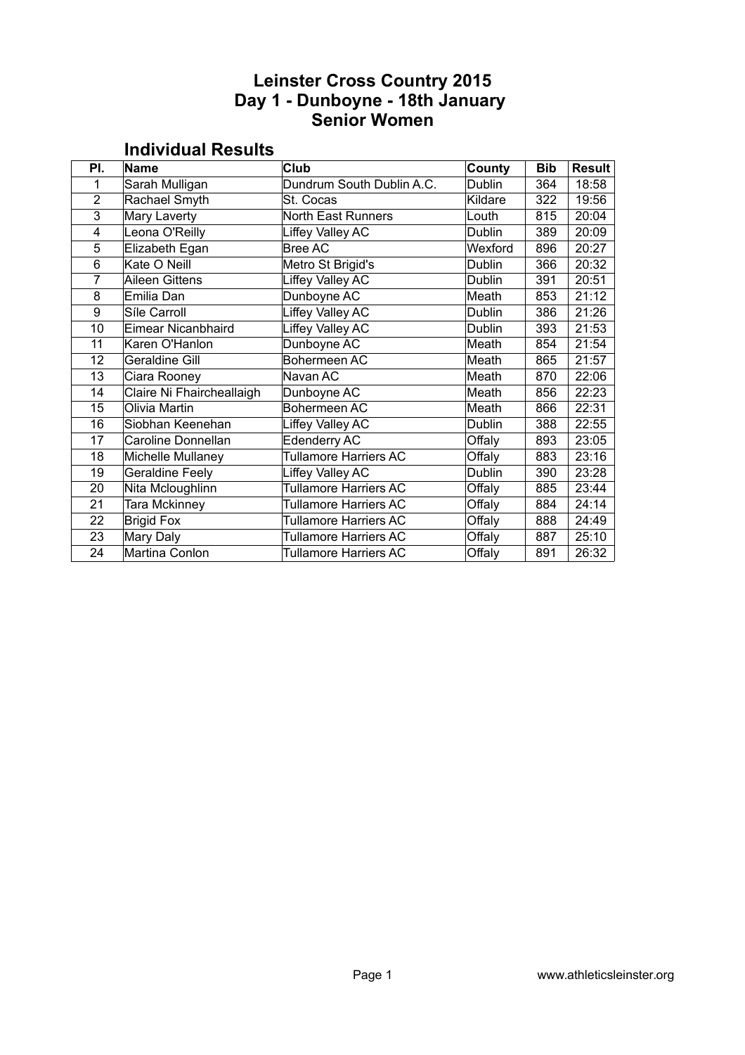### **Leinster Cross Country 2015 Day 1 - Dunboyne - 18th January Senior Women**

| PI.            | <b>Name</b>               | <b>Club</b>                  | County  | <b>Bib</b> | <b>Result</b> |  |  |
|----------------|---------------------------|------------------------------|---------|------------|---------------|--|--|
| 1              | Sarah Mulligan            | Dundrum South Dublin A.C.    | Dublin  | 364        | 18:58         |  |  |
| $\overline{2}$ | Rachael Smyth             | St. Cocas                    | Kildare | 322        | 19:56         |  |  |
| 3              | Mary Laverty              | <b>North East Runners</b>    | Louth   | 815        | 20:04         |  |  |
| 4              | Leona O'Reilly            | Liffey Valley AC             | Dublin  | 389        | 20:09         |  |  |
| 5              | Elizabeth Egan            | <b>Bree AC</b>               | Wexford | 896        | 20:27         |  |  |
| 6              | Kate O Neill              | Metro St Brigid's            | Dublin  | 366        | 20:32         |  |  |
| 7              | <b>Aileen Gittens</b>     | Liffey Valley AC             | Dublin  | 391        | 20:51         |  |  |
| 8              | Emilia Dan                | Dunboyne AC                  | Meath   | 853        | 21:12         |  |  |
| 9              | Síle Carroll              | Liffey Valley AC             | Dublin  | 386        | 21:26         |  |  |
| 10             | Eimear Nicanbhaird        | Liffey Valley AC             | Dublin  | 393        | 21:53         |  |  |
| 11             | Karen O'Hanlon            | Dunboyne AC                  | Meath   | 854        | 21:54         |  |  |
| 12             | <b>Geraldine Gill</b>     | Bohermeen AC                 | Meath   | 865        | 21:57         |  |  |
| 13             | Ciara Rooney              | Navan AC                     | Meath   | 870        | 22:06         |  |  |
| 14             | Claire Ni Fhaircheallaigh | Dunboyne AC                  | Meath   | 856        | 22:23         |  |  |
| 15             | Olivia Martin             | Bohermeen AC                 | Meath   | 866        | 22:31         |  |  |
| 16             | Siobhan Keenehan          | Liffey Valley AC             | Dublin  | 388        | 22:55         |  |  |
| 17             | Caroline Donnellan        | Edenderry AC                 | Offaly  | 893        | 23:05         |  |  |
| 18             | Michelle Mullaney         | <b>Tullamore Harriers AC</b> | Offaly  | 883        | 23:16         |  |  |
| 19             | <b>Geraldine Feely</b>    | Liffey Valley AC             | Dublin  | 390        | 23:28         |  |  |
| 20             | Nita Mcloughlinn          | <b>Tullamore Harriers AC</b> | Offaly  | 885        | 23:44         |  |  |
| 21             | Tara Mckinney             | <b>Tullamore Harriers AC</b> | Offaly  | 884        | 24:14         |  |  |
| 22             | <b>Brigid Fox</b>         | <b>Tullamore Harriers AC</b> | Offaly  | 888        | 24:49         |  |  |
| 23             | Mary Daly                 | <b>Tullamore Harriers AC</b> | Offaly  | 887        | 25:10         |  |  |
| 24             | Martina Conlon            | <b>Tullamore Harriers AC</b> | Offaly  | 891        | 26:32         |  |  |

#### **Individual Results**